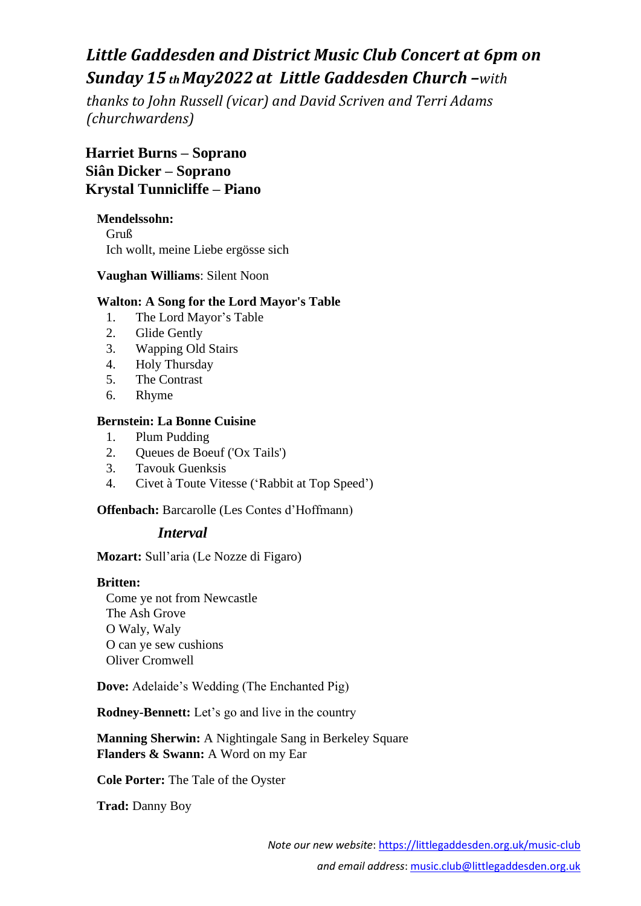# *Little Gaddesden and District Music Club Concert at 6pm on Sunday 15 th May2022 at Little Gaddesden Church –with*

*thanks to John Russell (vicar) and David Scriven and Terri Adams (churchwardens)*

**Harriet Burns – Soprano Siân Dicker – Soprano Krystal Tunnicliffe – Piano**

## **Mendelssohn:**

Gruß Ich wollt, meine Liebe ergösse sich

## **Vaughan Williams**: Silent Noon

## **Walton: A Song for the Lord Mayor's Table**

- 1. The Lord Mayor's Table
- 2. Glide Gently
- 3. Wapping Old Stairs
- 4. Holy Thursday
- 5. The Contrast
- 6. Rhyme

## **Bernstein: La Bonne Cuisine**

- 1. Plum Pudding
- 2. Queues de Boeuf ('Ox Tails')
- 3. Tavouk Guenksis
- 4. Civet à Toute Vitesse ('Rabbit at Top Speed')

#### **Offenbach:** Barcarolle (Les Contes d'Hoffmann)

# *Interval*

**Mozart:** Sull'aria (Le Nozze di Figaro)

#### **Britten:**

Come ye not from Newcastle The Ash Grove O Waly, Waly O can ye sew cushions Oliver Cromwell

**Dove:** Adelaide's Wedding (The Enchanted Pig)

**Rodney-Bennett:** Let's go and live in the country

**Manning Sherwin:** A Nightingale Sang in Berkeley Square **Flanders & Swann:** A Word on my Ear

**Cole Porter:** The Tale of the Oyster

**Trad:** Danny Boy